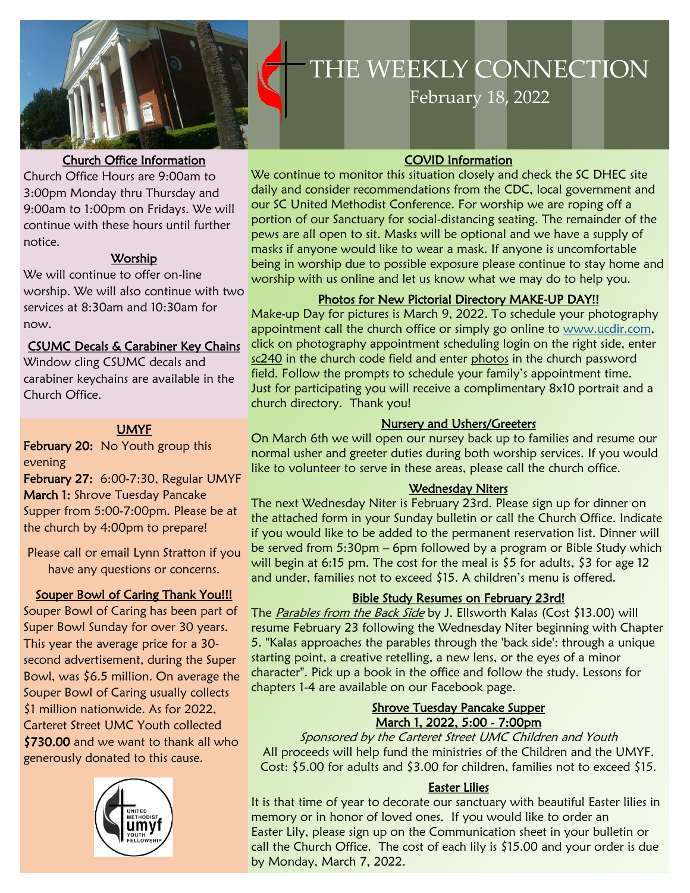

#### Church Office Information

Church Office Hours are 9:00am to 3:00pm Monday thru Thursday and 9:00am to 1:00pm on Fridays. We will continue with these hours until further notice.

### Worship

We will continue to offer on-line worship. We will also continue with two services at 8:30am and 10:30am for now.

### CSUMC Decals & Carabiner Key Chains

Window cling CSUMC decals and carabiner keychains are available in the Church Office.

### UMYF

February 20: No Youth group this evening

February 27: 6:00-7:30, Regular UMYF March 1: Shrove Tuesday Pancake Supper from 5:00-7:00pm. Please be at the church by 4:00pm to prepare!

Please call or email Lynn Stratton if you have any questions or concerns.

### Souper Bowl of Caring Thank You!!!

Souper Bowl of Caring has been part of Super Bowl Sunday for over 30 years. This year the average price for a 30 second advertisement, during the Super Bowl, was \$6.5 million. On average the Souper Bowl of Caring usually collects \$1 million nationwide. As for 2022, Carteret Street UMC Youth collected \$730.00 and we want to thank all who generously donated to this cause.



# **THE WEEKLY**  THE WEEKLY CONNECTION

**February 18, 2022** 

### COVID Information

We continue to monitor this situation closely and check the SC DHEC site daily and consider recommendations from the CDC, local government and our SC United Methodist Conference. For worship we are roping off a portion of our Sanctuary for social-distancing seating. The remainder of the pews are all open to sit. Masks will be optional and we have a supply of masks if anyone would like to wear a mask. If anyone is uncomfortable being in worship due to possible exposure please continue to stay home and worship with us online and let us know what we may do to help you.

### Photos for New Pictorial Directory MAKE-UP DAY!!

Make-up Day for pictures is March 9, 2022. To schedule your photography appointment call the church office or simply go online to www.ucdir.com, click on photography appointment scheduling login on the right side, enter sc240 in the church code field and enter photos in the church password field. Follow the prompts to schedule your family's appointment time. Just for participating you will receive a complimentary 8x10 portrait and a church directory. Thank you!

### Nursery and Ushers/Greeters

On March 6th we will open our nursey back up to families and resume our normal usher and greeter duties during both worship services. If you would like to volunteer to serve in these areas, please call the church office.

### Wednesday Niters

The next Wednesday Niter is February 23rd. Please sign up for dinner on the attached form in your Sunday bulletin or call the Church Office. Indicate if you would like to be added to the permanent reservation list. Dinner will be served from 5:30pm – 6pm followed by a program or Bible Study which will begin at 6:15 pm. The cost for the meal is \$5 for adults, \$3 for age 12 and under, families not to exceed \$15. A children's menu is offered.

# Bible Study Resumes on February 23rd!

The Parables from the Back Side by J. Ellsworth Kalas (Cost \$13.00) will resume February 23 following the Wednesday Niter beginning with Chapter 5. "Kalas approaches the parables through the 'back side': through a unique starting point, a creative retelling, a new lens, or the eyes of a minor character". Pick up a book in the office and follow the study. Lessons for chapters 1-4 are available on our Facebook page.

### Shrove Tuesday Pancake Supper March 1, 2022, 5:00 - 7:00pm

Sponsored by the Carteret Street UMC Children and Youth All proceeds will help fund the ministries of the Children and the UMYF. Cost: \$5.00 for adults and \$3.00 for children, families not to exceed \$15.

### Easter Lilies

It is that time of year to decorate our sanctuary with beautiful Easter lilies in memory or in honor of loved ones. If you would like to order an Easter Lily, please sign up on the Communication sheet in your bulletin or call the Church Office. The cost of each lily is \$15.00 and your order is due by Monday, March 7, 2022.